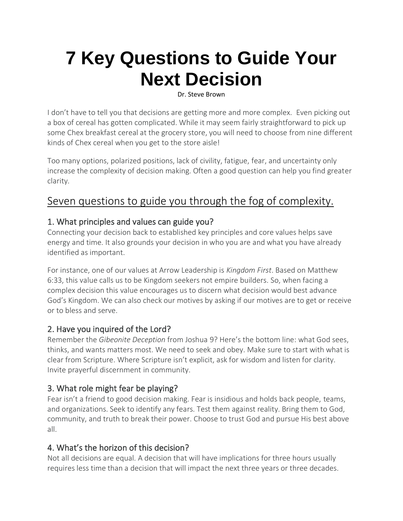# **7 Key Questions to Guide Your Next Decision**

Dr. Steve Brown

I don't have to tell you that decisions are getting more and more complex. Even picking out a box of cereal has gotten complicated. While it may seem fairly straightforward to pick up some Chex breakfast cereal at the grocery store, you will need to choose from nine different kinds of Chex cereal when you get to the store aisle!

Too many options, polarized positions, lack of civility, fatigue, fear, and uncertainty only increase the complexity of decision making. Often a good question can help you find greater clarity.

## Seven questions to guide you through the fog of complexity.

#### 1. What principles and values can guide you?

Connecting your decision back to established key principles and core values helps save energy and time. It also grounds your decision in who you are and what you have already identified as important.

For instance, one of our values at Arrow Leadership is *Kingdom First*. Based on Matthew 6:33, this value calls us to be Kingdom seekers not empire builders. So, when facing a complex decision this value encourages us to discern what decision would best advance God's Kingdom. We can also check our motives by asking if our motives are to get or receive or to bless and serve.

#### 2. Have you inquired of the Lord?

Remember the *Gibeonite Deception* from Joshua 9? Here's the bottom line: what God sees, thinks, and wants matters most. We need to seek and obey. Make sure to start with what is clear from Scripture. Where Scripture isn't explicit, ask for wisdom and listen for clarity. Invite prayerful discernment in community.

#### 3. What role might fear be playing?

Fear isn't a friend to good decision making. Fear is insidious and holds back people, teams, and organizations. Seek to identify any fears. Test them against reality. Bring them to God, community, and truth to break their power. Choose to trust God and pursue His best above all.

### 4. What's the horizon of this decision?

Not all decisions are equal. A decision that will have implications for three hours usually requires less time than a decision that will impact the next three years or three decades.